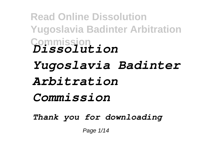**Read Online Dissolution Yugoslavia Badinter Arbitration Commission** *Dissolution Yugoslavia Badinter Arbitration Commission*

*Thank you for downloading* 

Page 1/14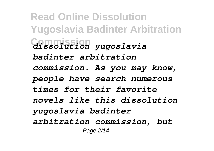**Read Online Dissolution Yugoslavia Badinter Arbitration Commission** *dissolution yugoslavia badinter arbitration commission. As you may know, people have search numerous times for their favorite novels like this dissolution yugoslavia badinter arbitration commission, but* Page 2/14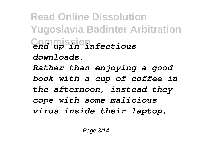**Read Online Dissolution Yugoslavia Badinter Arbitration Commission** *end up in infectious downloads. Rather than enjoying a good book with a cup of coffee in the afternoon, instead they cope with some malicious virus inside their laptop.*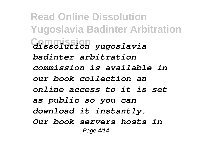**Read Online Dissolution Yugoslavia Badinter Arbitration Commission** *dissolution yugoslavia badinter arbitration commission is available in our book collection an online access to it is set as public so you can download it instantly. Our book servers hosts in* Page 4/14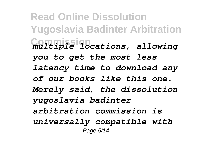**Read Online Dissolution Yugoslavia Badinter Arbitration Commission** *multiple locations, allowing you to get the most less latency time to download any of our books like this one. Merely said, the dissolution yugoslavia badinter arbitration commission is universally compatible with* Page 5/14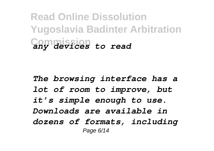**Read Online Dissolution Yugoslavia Badinter Arbitration Commission** *any devices to read*

*The browsing interface has a lot of room to improve, but it's simple enough to use. Downloads are available in dozens of formats, including* Page 6/14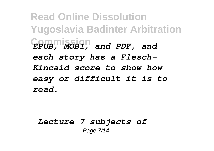**Read Online Dissolution Yugoslavia Badinter Arbitration Commission** *EPUB, MOBI, and PDF, and each story has a Flesch-Kincaid score to show how easy or difficult it is to read.*

## *Lecture 7 subjects of* Page 7/14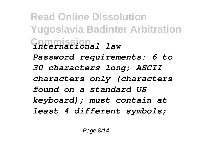**Read Online Dissolution Yugoslavia Badinter Arbitration Commission** *international law Password requirements: 6 to 30 characters long; ASCII characters only (characters found on a standard US keyboard); must contain at least 4 different symbols;*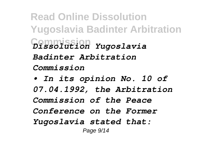**Read Online Dissolution Yugoslavia Badinter Arbitration Commission** *Dissolution Yugoslavia Badinter Arbitration Commission*

*• In its opinion No. 10 of 07.04.1992, the Arbitration Commission of the Peace Conference on the Former Yugoslavia stated that:* Page  $9/14$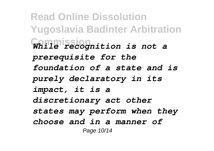**Read Online Dissolution Yugoslavia Badinter Arbitration Commission** *While recognition is not a prerequisite for the foundation of a state and is purely declaratory in its impact, it is a discretionary act other states may perform when they choose and in a manner of* Page 10/14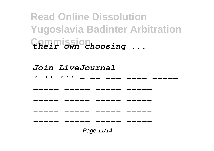**Read Online Dissolution Yugoslavia Badinter Arbitration Commission** *their own choosing ...*

*Join LiveJournal ' '' ''' - -- --- ---- ----- ----- ----- ----- ----- ----- ----- ----- ----- ----- ----- ----- ----- ----- ----- ----- -----* Page 11/14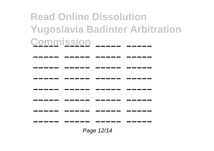## **Read Online Dissolution Yugoslavia Badinter Arbitration Commission**

|                        | ------ ----- ----- ----- |  |  |
|------------------------|--------------------------|--|--|
|                        | _____ _____ _____ ____   |  |  |
|                        | _____ _____ _____ ____   |  |  |
|                        | _____ _____ _____ ____   |  |  |
|                        | _____ _____ _____ ____   |  |  |
|                        | _____ _____ _____ ____   |  |  |
|                        | _____ _____ _____ ____   |  |  |
| $P_{\text{A}}$ (12/14) |                          |  |  |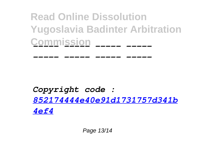**Read Online Dissolution Yugoslavia Badinter Arbitration Commission** *----- ----- ----- -----*

*----- ----- ----- -----*

*Copyright code : [852174444e40e91d1731757d341b](/search-book/852174444e40e91d1731757d341b4ef4) [4ef4](/search-book/852174444e40e91d1731757d341b4ef4)*

Page 13/14